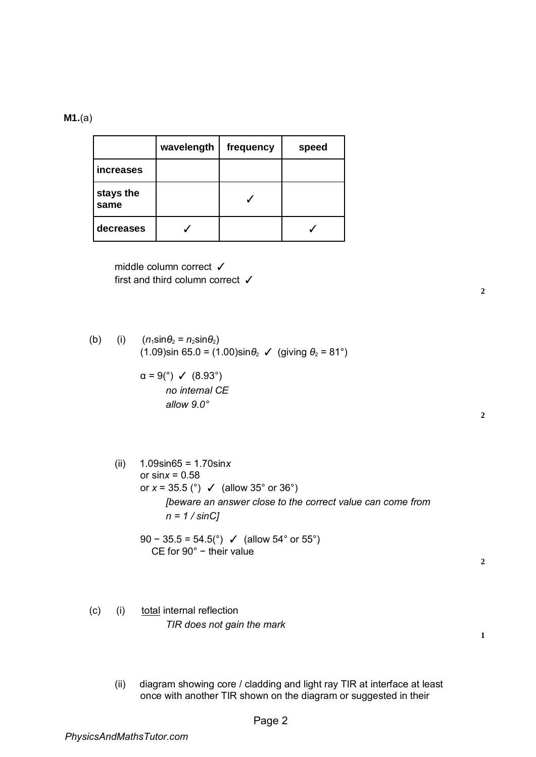|                   | wavelength | frequency | speed |
|-------------------|------------|-----------|-------|
| increases         |            |           |       |
| stays the<br>same |            |           |       |
| decreases         |            |           |       |

middle column correct ✓ first and third column correct ✓

**2**

(b) (i)  $(n_1 \sin \theta_2 = n_2 \sin \theta_2)$  $(1.09)$ sin 65.0 =  $(1.00)$ sin $\theta_2$   $\checkmark$  (giving  $\theta_2$  = 81°)

$$
\alpha = 9^{\circ} \quad \checkmark \quad (8.93^{\circ})
$$
  
no internal CE  
allow 9.0°

**2**

(ii) 1.09sin65 = 1.70sin*x*  or sin*x* = 0.58 or *x* = 35.5 ( $\degree$ ) **✓** (allow 35 $\degree$  or 36 $\degree$ ) *[beware an answer close to the correct value can come from n = 1 / sinC]*  90 – 35.5 = 54.5(°)  $\checkmark$  (allow 54° or 55°) CE for 90° − their value

**2**

- (c) (i) total internal reflection *TIR does not gain the mark* 
	- (ii) diagram showing core / cladding and light ray TIR at interface at least once with another TIR shown on the diagram or suggested in their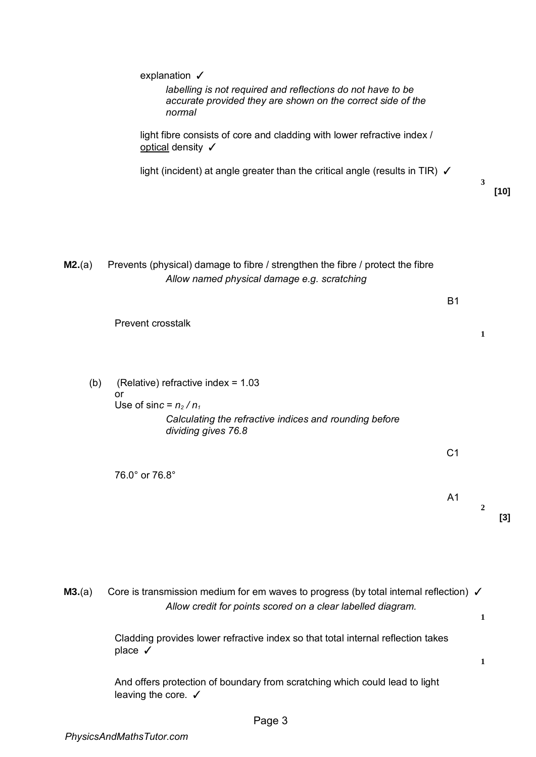|        | leaving the core. ✔                                                                                                                                   |                |              |        |
|--------|-------------------------------------------------------------------------------------------------------------------------------------------------------|----------------|--------------|--------|
|        | And offers protection of boundary from scratching which could lead to light                                                                           |                | $\mathbf{1}$ |        |
|        | Cladding provides lower refractive index so that total internal reflection takes<br>place $\checkmark$                                                |                |              |        |
| M3.(a) | Core is transmission medium for em waves to progress (by total internal reflection) √<br>Allow credit for points scored on a clear labelled diagram.  |                | $\mathbf{1}$ |        |
|        |                                                                                                                                                       |                |              | $[3]$  |
|        |                                                                                                                                                       | A <sub>1</sub> | 2            |        |
|        | 76.0° or 76.8°                                                                                                                                        | C <sub>1</sub> |              |        |
|        | or<br>Use of sinc = $n_2/n_1$<br>Calculating the refractive indices and rounding before<br>dividing gives 76.8                                        |                |              |        |
| (b)    | (Relative) refractive index = 1.03                                                                                                                    |                |              |        |
|        | <b>Prevent crosstalk</b>                                                                                                                              | <b>B1</b>      | 1            |        |
| M2.(a) | Prevents (physical) damage to fibre / strengthen the fibre / protect the fibre<br>Allow named physical damage e.g. scratching                         |                |              |        |
|        | light (incident) at angle greater than the critical angle (results in TIR) $\checkmark$                                                               |                | 3            | $[10]$ |
|        | light fibre consists of core and cladding with lower refractive index /<br>optical density V                                                          |                |              |        |
|        | explanation √<br>labelling is not required and reflections do not have to be<br>accurate provided they are shown on the correct side of the<br>normal |                |              |        |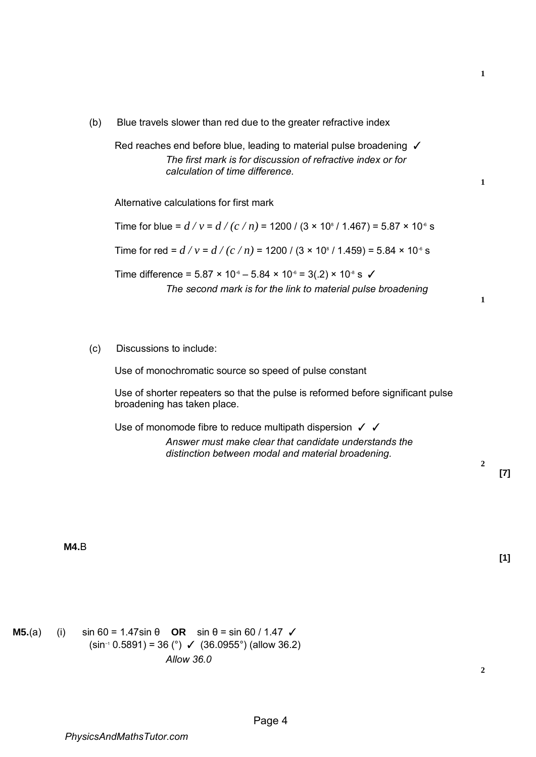(b) Blue travels slower than red due to the greater refractive index

Red reaches end before blue, leading to material pulse broadening √ *The first mark is for discussion of refractive index or for calculation of time difference.* 

Alternative calculations for first mark

Time for blue =  $d/v = d/(c/n)$  = 1200 / (3 × 10<sup>8</sup> / 1.467) = 5.87 × 10<sup>8</sup> s

Time for red =  $d/v = d/(c/n)$  = 1200 / (3 × 10<sup>8</sup> / 1.459) = 5.84 × 10<sup>8</sup> s

Time difference =  $5.87 \times 10^{-6} - 5.84 \times 10^{-6} = 3(.2) \times 10^{-8}$  s  $\checkmark$ *The second mark is for the link to material pulse broadening* 

**1**

**1**

**1**

## (c) Discussions to include:

Use of monochromatic source so speed of pulse constant

Use of shorter repeaters so that the pulse is reformed before significant pulse broadening has taken place.

Use of monomode fibre to reduce multipath dispersion ✓ ✓ *Answer must make clear that candidate understands the* 

*distinction between modal and material broadening.* 

**[7]** 

**2**

**M4.**B

**[1]** 

**M5.**(a) (i) sin 60 = 1.47sin θ **OR** sin θ = sin 60 / 1.47  $\checkmark$  $(sin^{-1} 0.5891) = 36$  (°)  $\checkmark$  (36.0955°) (allow 36.2) *Allow 36.0*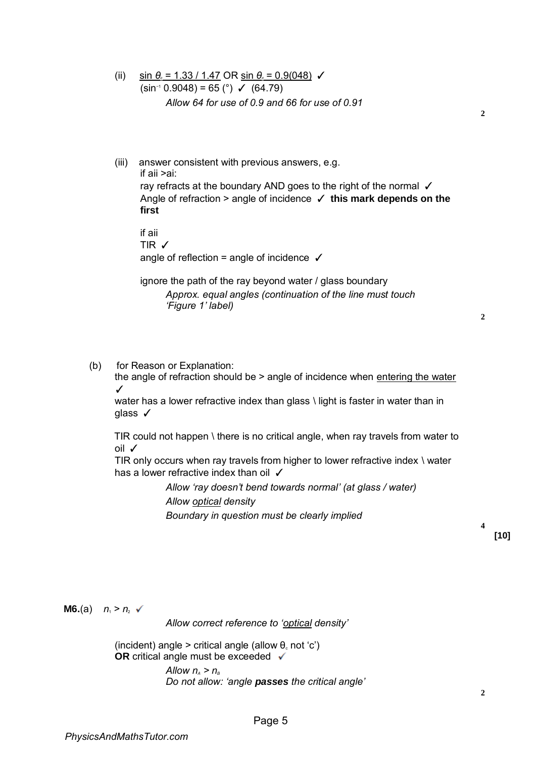- (ii) sin  $\theta$ <sup>*c*</sup> = 1.33 / 1.47 OR sin  $\theta$ <sup>*c*</sup> = 0.9(048) ✓  $(sin^{-1} 0.9048) = 65$  (°)  $\checkmark$  (64.79) *Allow 64 for use of 0.9 and 66 for use of 0.91*
- (iii) answer consistent with previous answers, e.g. if aii >ai: ray refracts at the boundary AND goes to the right of the normal √ Angle of refraction > angle of incidence ✓ **this mark depends on the first**

if aii TIR ✓ angle of reflection = angle of incidence  $\checkmark$ 

ignore the path of the ray beyond water / glass boundary *Approx. equal angles (continuation of the line must touch 'Figure 1' label)* 

**2**

**2**

(b) for Reason or Explanation:

the angle of refraction should be > angle of incidence when entering the water ✓

water has a lower refractive index than glass \ light is faster in water than in qlass √

 TIR could not happen \ there is no critical angle, when ray travels from water to oil ✓

TIR only occurs when ray travels from higher to lower refractive index \ water has a lower refractive index than oil √

> *Allow 'ray doesn't bend towards normal' (at glass / water) Allow optical density Boundary in question must be clearly implied*

> > **[10]**

**4**

**M6.**(a)  $n_1 > n_2$   $\checkmark$ 

*Allow correct reference to 'optical density'* 

(incident) angle > critical angle (allow  $\theta_c$  not 'c') **OR** critical angle must be exceeded ✔

> *Allow*  $n_a > n_b$ *Do not allow: 'angle passes the critical angle'*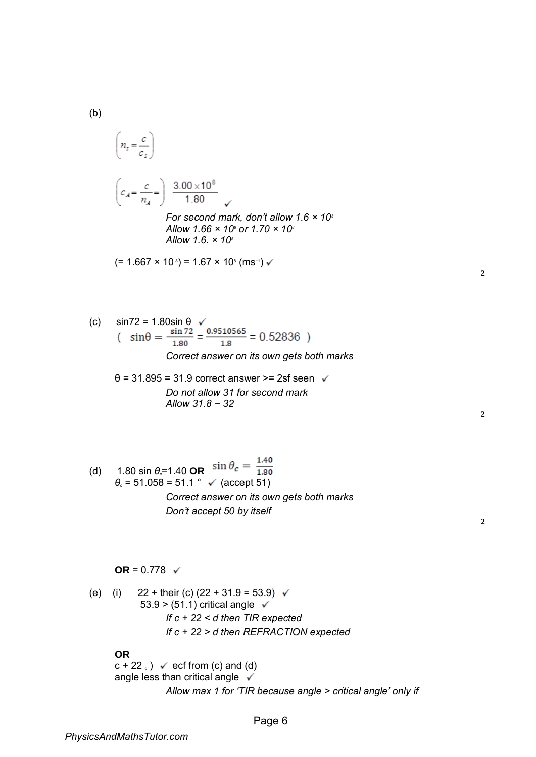$$
\left(n_s = \frac{c}{c_s}\right)
$$
\n
$$
\left(c_A = \frac{c}{n_A} = \right) \frac{3.00 \times 10^8}{1.80}
$$
\nFor second mark, don't allow 1.6 × 10°  
\nAllow 1.66 × 10° or 1.70 × 10°  
\nAllow 1.6. × 10°

$$
(= 1.667 \times 10^{3}) = 1.67 \times 10^{8} \text{ (ms}^{-1)} \checkmark
$$

(b)

(c) 
$$
\sin 72 = 1.80 \sin \theta
$$
  
\n $(\sin \theta = \frac{\sin 72}{1.80} = \frac{0.9510565}{1.8} = 0.52836)$   
\nCorrect answer on its own gets both marks

$$
\theta = 31.895 = 31.9
$$
 correct answer  $> = 2$ sf seen  
*Do not allow 31 for second mark*  
*Allow 31.8 - 32*

(d) 1.80 sin 
$$
\theta_c
$$
=1.40 **OR**  $\sin \theta_c = \frac{1.40}{1.80}$   
\n $\theta_c$  = 51.058 = 51.1°  $\checkmark$  (accept 51)  
\nCorrect answer on its own gets both marks  
\nDon't accept 50 by itself

**2**

**2**

**2**

 $OR = 0.778$  <del>✓</del>

(e) (i) 
$$
22 + \text{their (c) } (22 + 31.9 = 53.9)
$$
  
\n $53.9 > (51.1) \text{ critical angle}$   
\nIf  $c + 22 < d$  then *TIR expected*  
\nIf  $c + 22 > d$  then *REFRACTION expected*

**OR**

 $c + 22$ <sub>c</sub>)  $\checkmark$  ecf from (c) and (d) angle less than critical angle  $\sqrt{}$ *Allow max 1 for 'TIR because angle > critical angle' only if*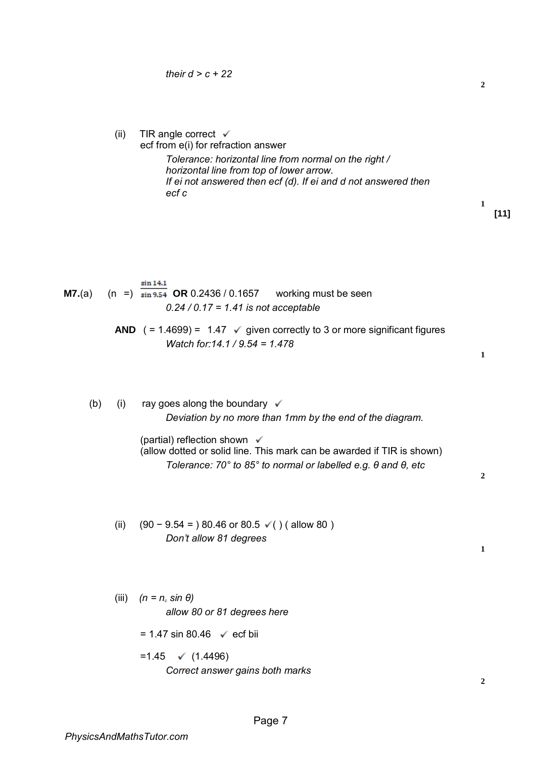(ii) TIR angle correct  $\checkmark$ ecf from e(i) for refraction answer *Tolerance: horizontal line from normal on the right / horizontal line from top of lower arrow. If ei not answered then ecf (d). If ei and d not answered then ecf c*  **1 [11]**  sin 14.1 **M7.**(a)  $(n =)$   $\frac{\sin 9.54}{\sin 9.54}$  **OR** 0.2436 / 0.1657 working must be seen *0.24 / 0.17 = 1.41 is not acceptable*  **AND**  $( = 1.4699) = 1.47$   $\checkmark$  given correctly to 3 or more significant figures *Watch for:14.1 / 9.54 = 1.478*  **1** (b) (i) ray goes along the boundary  $\checkmark$ *Deviation by no more than 1mm by the end of the diagram.*  (partial) reflection shown  $\checkmark$ (allow dotted or solid line. This mark can be awarded if TIR is shown) *Tolerance: 70° to 85° to normal or labelled e.g. θ and θ, etc*  **2** (ii)  $(90 - 9.54 = 80.46 \text{ or } 80.5 \checkmark)$  ( allow 80 ) *Don't allow 81 degrees*  **1** (iii)  $(n = n_c \sin \theta)$ *allow 80 or 81 degrees here*   $= 1.47 \sin 80.46$   $\checkmark$  ecf bii  $=1.45$  (1.4496) *Correct answer gains both marks*